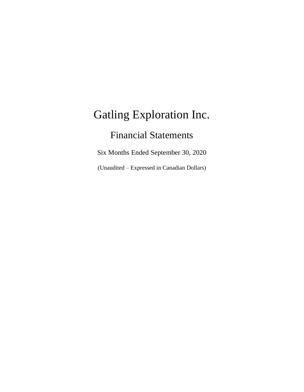# Financial Statements

Six Months Ended September 30, 2020

(Unaudited – Expressed in Canadian Dollars)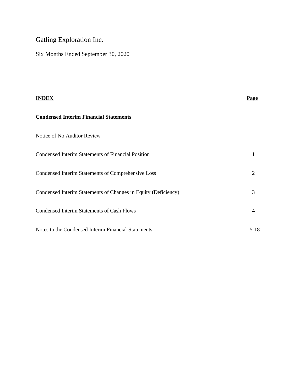Six Months Ended September 30, 2020

| <b>INDEX</b>                                                   | <b>Page</b>    |
|----------------------------------------------------------------|----------------|
| <b>Condensed Interim Financial Statements</b>                  |                |
| Notice of No Auditor Review                                    |                |
| <b>Condensed Interim Statements of Financial Position</b>      |                |
| Condensed Interim Statements of Comprehensive Loss             | 2              |
| Condensed Interim Statements of Changes in Equity (Deficiency) | 3              |
| Condensed Interim Statements of Cash Flows                     | $\overline{4}$ |
| Notes to the Condensed Interim Financial Statements            | $5 - 18$       |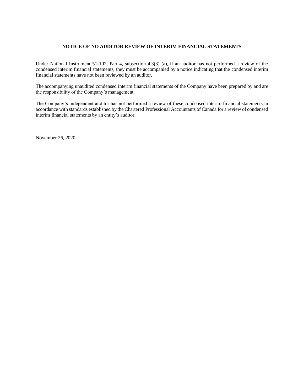#### **NOTICE OF NO AUDITOR REVIEW OF INTERIM FINANCIAL STATEMENTS**

Under National Instrument 51-102, Part 4, subsection 4.3(3) (a), if an auditor has not performed a review of the condensed interim financial statements, they must be accompanied by a notice indicating that the condensed interim financial statements have not been reviewed by an auditor.

The accompanying unaudited condensed interim financial statements of the Company have been prepared by and are the responsibility of the Company's management.

The Company's independent auditor has not performed a review of these condensed interim financial statements in accordance with standards established by the Chartered Professional Accountants of Canada for a review of condensed interim financial statements by an entity's auditor.

November 26, 2020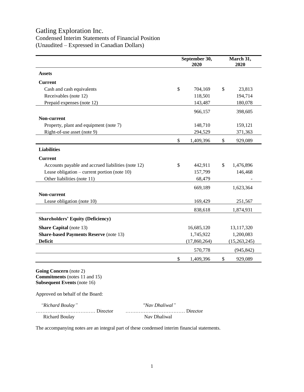### Condensed Interim Statements of Financial Position (Unaudited – Expressed in Canadian Dollars)

| September 30,<br>2020 |              |                      | March 31,<br>2020 |
|-----------------------|--------------|----------------------|-------------------|
|                       |              |                      |                   |
|                       |              |                      |                   |
| \$                    | 704,169      | \$                   | 23,813            |
|                       | 118,501      |                      | 194,714           |
|                       | 143,487      |                      | 180,078           |
|                       | 966,157      |                      | 398,605           |
|                       |              |                      |                   |
|                       | 148,710      |                      | 159,121           |
|                       | 294,529      |                      | 371,363           |
| \$                    | 1,409,396    | \$                   | 929,089           |
|                       |              |                      |                   |
|                       |              |                      |                   |
| \$                    | 442,911      | \$                   | 1,476,896         |
|                       | 157,799      |                      | 146,468           |
|                       | 68,479       |                      |                   |
|                       |              |                      | 1,623,364         |
|                       |              |                      |                   |
|                       | 169,429      |                      | 251,567           |
|                       | 838,618      |                      | 1,874,931         |
|                       |              |                      |                   |
|                       | 16,685,120   |                      | 13,117,320        |
|                       | 1,745,922    |                      | 1,200,083         |
|                       | (17,860,264) |                      | (15,263,245)      |
|                       | 570,778      |                      | (945, 842)        |
| \$                    |              | \$                   | 929,089           |
|                       |              | 669,189<br>1,409,396 |                   |

**Going Concern** (note 2) **Commitments** (notes 11 and 15) **Subsequent Events** (note 16)

Approved on behalf of the Board:

| "Richard Boulay" | "Nav Dhaliwal" |
|------------------|----------------|
|                  |                |
| Richard Boulay   | Nav Dhaliwal   |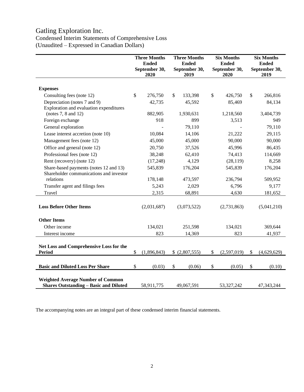# Condensed Interim Statements of Comprehensive Loss (Unaudited – Expressed in Canadian Dollars)

|                                                                                           | <b>Three Months</b><br><b>Ended</b><br>September 30,<br>2020 |    | <b>Three Months</b><br><b>Ended</b><br>September 30,<br>2019 |    | <b>Six Months</b><br><b>Ended</b><br>September 30,<br>2020 |    | <b>Six Months</b><br><b>Ended</b><br>September 30,<br>2019 |
|-------------------------------------------------------------------------------------------|--------------------------------------------------------------|----|--------------------------------------------------------------|----|------------------------------------------------------------|----|------------------------------------------------------------|
| <b>Expenses</b>                                                                           |                                                              |    |                                                              |    |                                                            |    |                                                            |
| Consulting fees (note 12)                                                                 | \$<br>276,750                                                | \$ | 133,398                                                      | \$ | 426,750                                                    | \$ | 266,816                                                    |
| Depreciation (notes 7 and 9)                                                              | 42,735                                                       |    | 45,592                                                       |    | 85,469                                                     |    | 84,134                                                     |
| Exploration and evaluation expenditures                                                   |                                                              |    |                                                              |    |                                                            |    |                                                            |
| (notes $7, 8$ and $12$ )                                                                  | 882,905                                                      |    | 1,930,631                                                    |    | 1,218,560                                                  |    | 3,404,739                                                  |
| Foreign exchange                                                                          | 918                                                          |    | 899                                                          |    | 3,513                                                      |    | 949                                                        |
| General exploration                                                                       |                                                              |    | 79,110                                                       |    |                                                            |    | 79,110                                                     |
| Lease interest accretion (note 10)                                                        | 10,084                                                       |    | 14,106                                                       |    | 21,222                                                     |    | 29,115                                                     |
| Management fees (note 12)                                                                 | 45,000                                                       |    | 45,000                                                       |    | 90,000                                                     |    | 90,000                                                     |
| Office and general (note 12)                                                              | 20,750                                                       |    | 37,526                                                       |    | 45,996                                                     |    | 86,435                                                     |
| Professional fees (note 12)                                                               | 38,248                                                       |    | 62,410                                                       |    | 74,413                                                     |    | 114,669                                                    |
| Rent (recovery) (note 12)                                                                 | (17,248)                                                     |    | 4,129                                                        |    | (28, 119)                                                  |    | 8,258                                                      |
| Share-based payments (notes 12 and 13)                                                    | 545,839                                                      |    | 176,204                                                      |    | 545,839                                                    |    | 176,204                                                    |
| Shareholder communications and investor                                                   |                                                              |    |                                                              |    |                                                            |    |                                                            |
| relations                                                                                 | 178,148                                                      |    | 473,597                                                      |    | 236,794                                                    |    | 509,952                                                    |
| Transfer agent and filings fees                                                           | 5,243                                                        |    | 2,029                                                        |    | 6,796                                                      |    | 9,177                                                      |
| Travel                                                                                    | 2,315                                                        |    | 68,891                                                       |    | 4,630                                                      |    | 181,652                                                    |
| <b>Loss Before Other Items</b>                                                            | (2,031,687)                                                  |    | (3,073,522)                                                  |    | (2,731,863)                                                |    | (5,041,210)                                                |
| <b>Other Items</b>                                                                        |                                                              |    |                                                              |    |                                                            |    |                                                            |
| Other income                                                                              | 134,021                                                      |    | 251,598                                                      |    | 134,021                                                    |    | 369,644                                                    |
| Interest income                                                                           | 823                                                          |    | 14,369                                                       |    | 823                                                        |    | 41,937                                                     |
| Net Loss and Comprehensive Loss for the<br>Period                                         | \$<br>(1,896,843)                                            |    | \$ (2,807,555)                                               | \$ | (2,597,019)                                                | \$ | (4,629,629)                                                |
| <b>Basic and Diluted Loss Per Share</b>                                                   | \$<br>(0.03)                                                 | \$ | (0.06)                                                       | \$ | (0.05)                                                     | \$ | (0.10)                                                     |
| <b>Weighted Average Number of Common</b><br><b>Shares Outstanding - Basic and Diluted</b> | 58,911,775                                                   |    | 49,067,591                                                   |    | 53,327,242                                                 |    | 47,343,244                                                 |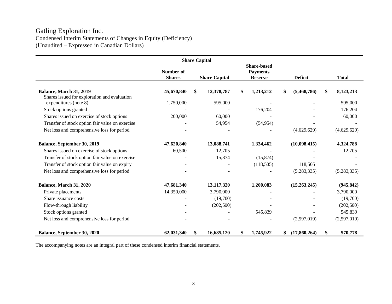## Gatling Exploration Inc. Condensed Interim Statements of Changes in Equity (Deficiency) (Unaudited – Expressed in Canadian Dollars)

|                                                                                | <b>Share Capital</b>              |    |                      |                                                         |           |                |              |                 |
|--------------------------------------------------------------------------------|-----------------------------------|----|----------------------|---------------------------------------------------------|-----------|----------------|--------------|-----------------|
|                                                                                | <b>Number of</b><br><b>Shares</b> |    | <b>Share Capital</b> | <b>Share-based</b><br><b>Payments</b><br><b>Reserve</b> |           | <b>Deficit</b> |              | <b>Total</b>    |
| <b>Balance, March 31, 2019</b><br>Shares issued for exploration and evaluation | 45,670,840                        | \$ | 12,378,787           | \$                                                      | 1,213,212 | \$             | (5,468,786)  | \$<br>8,123,213 |
| expenditures (note 8)                                                          | 1,750,000                         |    | 595,000              |                                                         |           |                |              | 595,000         |
| Stock options granted                                                          |                                   |    |                      |                                                         | 176,204   |                |              | 176,204         |
| Shares issued on exercise of stock options                                     | 200,000                           |    | 60,000               |                                                         |           |                |              | 60,000          |
| Transfer of stock option fair value on exercise                                |                                   |    | 54,954               |                                                         | (54, 954) |                |              |                 |
| Net loss and comprehensive loss for period                                     |                                   |    |                      |                                                         |           |                | (4,629,629)  | (4,629,629)     |
|                                                                                |                                   |    |                      |                                                         |           |                |              |                 |
| Balance, September 30, 2019                                                    | 47,620,840                        |    | 13,088,741           |                                                         | 1,334,462 |                | (10,098,415) | 4,324,788       |
| Shares issued on exercise of stock options                                     | 60,500                            |    | 12,705               |                                                         |           |                |              | 12,705          |
| Transfer of stock option fair value on exercise                                |                                   |    | 15,874               |                                                         | (15, 874) |                |              |                 |
| Transfer of stock option fair value on expiry                                  |                                   |    |                      |                                                         | (118,505) |                | 118,505      |                 |
| Net loss and comprehensive loss for period                                     |                                   |    |                      |                                                         |           |                | (5,283,335)  | (5,283,335)     |
| Balance, March 31, 2020                                                        | 47,681,340                        |    | 13,117,320           |                                                         | 1,200,083 |                | (15,263,245) | (945, 842)      |
| Private placements                                                             | 14,350,000                        |    | 3,790,000            |                                                         |           |                |              | 3,790,000       |
| Share issuance costs                                                           |                                   |    | (19,700)             |                                                         |           |                |              | (19,700)        |
| Flow-through liability                                                         |                                   |    | (202, 500)           |                                                         |           |                |              | (202, 500)      |
| Stock options granted                                                          |                                   |    |                      |                                                         | 545,839   |                |              | 545,839         |
| Net loss and comprehensive loss for period                                     |                                   |    |                      |                                                         |           |                | (2,597,019)  | (2,597,019)     |
| Balance, September 30, 2020                                                    | 62,031,340                        | \$ | 16,685,120           | \$                                                      | 1,745,922 | \$             | (17,860,264) | \$<br>570,778   |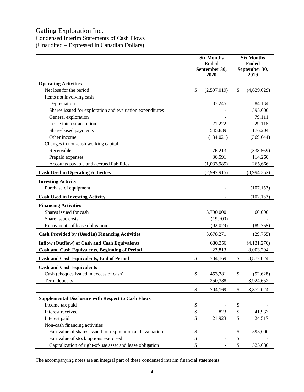Condensed Interim Statements of Cash Flows (Unaudited – Expressed in Canadian Dollars)

|                                                            | <b>Six Months</b><br><b>Ended</b><br>September 30,<br>2020 |             |     | <b>Six Months</b><br><b>Ended</b><br>September 30,<br>2019 |
|------------------------------------------------------------|------------------------------------------------------------|-------------|-----|------------------------------------------------------------|
| <b>Operating Activities</b>                                |                                                            |             |     |                                                            |
| Net loss for the period                                    | \$                                                         | (2,597,019) | \$  | (4,629,629)                                                |
| Items not involving cash                                   |                                                            |             |     |                                                            |
| Depreciation                                               |                                                            | 87,245      |     | 84,134                                                     |
| Shares issued for exploration and evaluation expenditures  |                                                            |             |     | 595,000                                                    |
| General exploration                                        |                                                            |             |     | 79,111                                                     |
| Lease interest accretion                                   |                                                            | 21,222      |     | 29,115                                                     |
| Share-based payments                                       |                                                            | 545,839     |     | 176,204                                                    |
| Other income                                               |                                                            | (134, 021)  |     | (369, 644)                                                 |
| Changes in non-cash working capital                        |                                                            |             |     |                                                            |
| Receivables                                                |                                                            | 76,213      |     | (338, 569)                                                 |
| Prepaid expenses                                           |                                                            | 36,591      |     | 114,260                                                    |
| Accounts payable and accrued liabilities                   |                                                            | (1,033,985) |     | 265,666                                                    |
| <b>Cash Used in Operating Activities</b>                   |                                                            | (2,997,915) |     | (3,994,352)                                                |
| <b>Investing Activity</b>                                  |                                                            |             |     |                                                            |
| Purchase of equipment                                      |                                                            |             |     | (107, 153)                                                 |
| <b>Cash Used in Investing Activity</b>                     |                                                            |             |     | (107, 153)                                                 |
| <b>Financing Activities</b>                                |                                                            |             |     |                                                            |
| Shares issued for cash                                     |                                                            | 3,790,000   |     | 60,000                                                     |
| Share issue costs                                          |                                                            | (19,700)    |     |                                                            |
| Repayments of lease obligation                             |                                                            | (92, 029)   |     | (89, 765)                                                  |
| <b>Cash Provided by (Used in) Financing Activities</b>     |                                                            | 3,678,271   |     | (29,765)                                                   |
| <b>Inflow (Outflow) of Cash and Cash Equivalents</b>       |                                                            | 680,356     |     | (4, 131, 270)                                              |
| <b>Cash and Cash Equivalents, Beginning of Period</b>      |                                                            | 23,813      |     | 8,003,294                                                  |
| <b>Cash and Cash Equivalents, End of Period</b>            | \$                                                         | 704,169     | \$  | 3,872,024                                                  |
| <b>Cash and Cash Equivalents</b>                           |                                                            |             |     |                                                            |
| Cash (cheques issued in excess of cash)                    | <sup>\$</sup>                                              | 453,781     | \$. | (52, 628)                                                  |
| Term deposits                                              |                                                            | 250,388     |     | 3,924,652                                                  |
|                                                            |                                                            |             | \$  |                                                            |
|                                                            | \$                                                         | 704,169     |     | 3,872,024                                                  |
| <b>Supplemental Disclosure with Respect to Cash Flows</b>  |                                                            |             |     |                                                            |
| Income tax paid                                            | \$                                                         |             | \$  |                                                            |
| Interest received                                          | \$                                                         | 823         | \$  | 41,937                                                     |
| Interest paid                                              | \$                                                         | 21,923      | \$  | 24,517                                                     |
| Non-cash financing activities                              |                                                            |             |     |                                                            |
| Fair value of shares issued for exploration and evaluation | \$                                                         |             | \$  | 595,000                                                    |
| Fair value of stock options exercised                      | \$                                                         |             | \$  |                                                            |
| Capitalization of right-of-use asset and lease obligation  | \$                                                         |             | \$  | 525,030                                                    |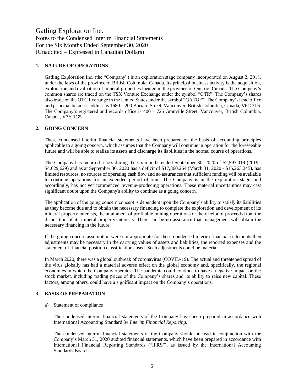#### **1. NATURE OF OPERATIONS**

Gatling Exploration Inc. (the "Company") is an exploration stage company incorporated on August 2, 2018, under the laws of the province of British Columbia, Canada. Its principal business activity is the acquisition, exploration and evaluation of mineral properties located in the province of Ontario, Canada. The Company's common shares are traded on the TSX Venture Exchange under the symbol "GTR". The Company's shares also trade on the OTC Exchange in the United States under the symbol "GATGF". The Company's head office and principal business address is 1680 – 200 Burrard Street, Vancouver, British Columbia, Canada, V6C 3L6. The Company's registered and records office is 400 – 725 Granville Street, Vancouver, British Columbia, Canada, V7Y 1G5.

#### **2. GOING CONCERN**

These condensed interim financial statements have been prepared on the basis of accounting principles applicable to a going concern, which assumes that the Company will continue in operation for the foreseeable future and will be able to realize its assets and discharge its liabilities in the normal course of operations.

The Company has incurred a loss during the six months ended September 30, 2020 of \$2,597,019 (2019 - \$4,629,629) and as at September 30, 2020 has a deficit of \$17,860,264 (March 31, 2020 - \$15,263,245), has limited resources, no sources of operating cash flow and no assurances that sufficient funding will be available to continue operations for an extended period of time. The Company is in the exploration stage, and accordingly, has not yet commenced revenue-producing operations. These material uncertainties may cast significant doubt upon the Company's ability to continue as a going concern.

The application of the going concern concept is dependent upon the Company's ability to satisfy its liabilities as they become due and to obtain the necessary financing to complete the exploration and development of its mineral property interests, the attainment of profitable mining operations or the receipt of proceeds from the disposition of its mineral property interests. There can be no assurance that management will obtain the necessary financing in the future.

If the going concern assumption were not appropriate for these condensed interim financial statements then adjustments may be necessary in the carrying values of assets and liabilities, the reported expenses and the statement of financial position classifications used. Such adjustments could be material.

In March 2020, there was a global outbreak of coronavirus (COVID-19). The actual and threatened spread of the virus globally has had a material adverse effect on the global economy and, specifically, the regional economies in which the Company operates. The pandemic could continue to have a negative impact on the stock market, including trading prices of the Company's shares and its ability to raise new capital. These factors, among others, could have a significant impact on the Company's operations.

#### **3. BASIS OF PREPARATION**

a) Statement of compliance

The condensed interim financial statements of the Company have been prepared in accordance with International Accounting Standard 34 *Interim Financial Reporting*.

The condensed interim financial statements of the Company should be read in conjunction with the Company's March 31, 2020 audited financial statements, which have been prepared in accordance with International Financial Reporting Standards ("IFRS"), as issued by the International Accounting Standards Board.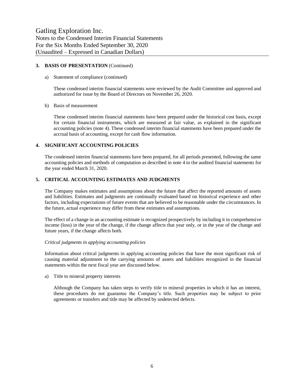#### **3. BASIS OF PRESENTATION** (Continued)

#### a) Statement of compliance (continued)

These condensed interim financial statements were reviewed by the Audit Committee and approved and authorized for issue by the Board of Directors on November 26, 2020.

#### b) Basis of measurement

These condensed interim financial statements have been prepared under the historical cost basis, except for certain financial instruments, which are measured at fair value, as explained in the significant accounting policies (note 4). These condensed interim financial statements have been prepared under the accrual basis of accounting, except for cash flow information.

#### **4. SIGNIFICANT ACCOUNTING POLICIES**

The condensed interim financial statements have been prepared, for all periods presented, following the same accounting policies and methods of computation as described in note 4 to the audited financial statements for the year ended March 31, 2020.

#### **5. CRITICAL ACCOUNTING ESTIMATES AND JUDGMENTS**

The Company makes estimates and assumptions about the future that affect the reported amounts of assets and liabilities. Estimates and judgments are continually evaluated based on historical experience and other factors, including expectations of future events that are believed to be reasonable under the circumstances. In the future, actual experience may differ from these estimates and assumptions.

The effect of a change in an accounting estimate is recognized prospectively by including it in comprehensive income (loss) in the year of the change, if the change affects that year only, or in the year of the change and future years, if the change affects both.

#### *Critical judgments in applying accounting policies*

Information about critical judgments in applying accounting policies that have the most significant risk of causing material adjustment to the carrying amounts of assets and liabilities recognized in the financial statements within the next fiscal year are discussed below.

a) Title to mineral property interests

Although the Company has taken steps to verify title to mineral properties in which it has an interest, these procedures do not guarantee the Company's title. Such properties may be subject to prior agreements or transfers and title may be affected by undetected defects.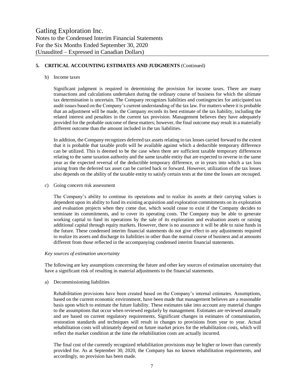#### **5. CRITICAL ACCOUNTING ESTIMATES AND JUDGMENTS** (Continued)

#### b) Income taxes

Significant judgment is required in determining the provision for income taxes. There are many transactions and calculations undertaken during the ordinary course of business for which the ultimate tax determination is uncertain. The Company recognizes liabilities and contingencies for anticipated tax audit issues based on the Company's current understanding of the tax law. For matters where it is probable that an adjustment will be made, the Company records its best estimate of the tax liability, including the related interest and penalties in the current tax provision. Management believes they have adequately provided for the probable outcome of these matters; however, the final outcome may result in a materially different outcome than the amount included in the tax liabilities.

In addition, the Company recognizes deferred tax assets relating to tax losses carried forward to the extent that it is probable that taxable profit will be available against which a deductible temporary difference can be utilized. This is deemed to be the case when there are sufficient taxable temporary differences relating to the same taxation authority and the same taxable entity that are expected to reverse in the same year as the expected reversal of the deductible temporary difference, or in years into which a tax loss arising from the deferred tax asset can be carried back or forward. However, utilization of the tax losses also depends on the ability of the taxable entity to satisfy certain tests at the time the losses are recouped.

c) Going concern risk assessment

The Company's ability to continue its operations and to realize its assets at their carrying values is dependent upon its ability to fund its existing acquisition and exploration commitments on its exploration and evaluation projects when they come due, which would cease to exist if the Company decides to terminate its commitments, and to cover its operating costs. The Company may be able to generate working capital to fund its operations by the sale of its exploration and evaluation assets or raising additional capital through equity markets. However, there is no assurance it will be able to raise funds in the future. These condensed interim financial statements do not give effect to any adjustments required to realize its assets and discharge its liabilities in other than the normal course of business and at amounts different from those reflected in the accompanying condensed interim financial statements.

#### *Key sources of estimation uncertainty*

The following are key assumptions concerning the future and other key sources of estimation uncertainty that have a significant risk of resulting in material adjustments to the financial statements.

#### a) Decommissioning liabilities

Rehabilitation provisions have been created based on the Company's internal estimates. Assumptions, based on the current economic environment, have been made that management believes are a reasonable basis upon which to estimate the future liability. These estimates take into account any material changes to the assumptions that occur when reviewed regularly by management. Estimates are reviewed annually and are based on current regulatory requirements. Significant changes in estimates of contamination, restoration standards and techniques will result in changes to provisions from year to year. Actual rehabilitation costs will ultimately depend on future market prices for the rehabilitation costs, which will reflect the market condition at the time the rehabilitation costs are actually incurred.

The final cost of the currently recognized rehabilitation provisions may be higher or lower than currently provided for. As at September 30, 2020, the Company has no known rehabilitation requirements, and accordingly, no provision has been made.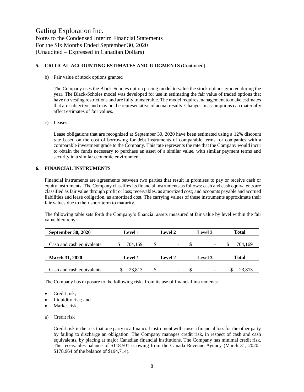#### **5. CRITICAL ACCOUNTING ESTIMATES AND JUDGMENTS** (Continued)

b) Fair value of stock options granted

The Company uses the Black-Scholes option pricing model to value the stock options granted during the year. The Black-Scholes model was developed for use in estimating the fair value of traded options that have no vesting restrictions and are fully transferable. The model requires management to make estimates that are subjective and may not be representative of actual results. Changes in assumptions can materially affect estimates of fair values.

c) Leases

Lease obligations that are recognized at September 30, 2020 have been estimated using a 12% discount rate based on the cost of borrowing for debt instruments of comparable terms for companies with a comparable investment grade to the Company. This rate represents the rate that the Company would incur to obtain the funds necessary to purchase an asset of a similar value, with similar payment terms and security in a similar economic environment.

#### **6. FINANCIAL INSTRUMENTS**

Financial instruments are agreements between two parties that result in promises to pay or receive cash or equity instruments. The Company classifies its financial instruments as follows: cash and cash equivalents are classified as fair value through profit or loss; receivables, as amortized cost; and accounts payable and accrued liabilities and lease obligation, as amortized cost. The carrying values of these instruments approximate their fair values due to their short term to maturity.

The following table sets forth the Company's financial assets measured at fair value by level within the fair value hierarchy:

| <b>September 30, 2020</b> | <b>Level 1</b> | Level 2                        | Level 3 | <b>Total</b> |
|---------------------------|----------------|--------------------------------|---------|--------------|
| Cash and cash equivalents | 704,169        | \$<br>$\overline{\phantom{a}}$ | S<br>-  | 704,169      |
|                           |                |                                |         |              |
| <b>March 31, 2020</b>     | <b>Level 1</b> | <b>Level 2</b>                 | Level 3 | <b>Total</b> |
| Cash and cash equivalents | 23.813         | S<br>$\overline{\phantom{a}}$  | ۰       | 23.813       |

The Company has exposure to the following risks from its use of financial instruments:

- Credit risk;
- Liquidity risk; and
- Market risk.
- a) Credit risk

Credit risk is the risk that one party to a financial instrument will cause a financial loss for the other party by failing to discharge an obligation. The Company manages credit risk, in respect of cash and cash equivalents, by placing at major Canadian financial institutions. The Company has minimal credit risk. The receivables balance of \$118,501 is owing from the Canada Revenue Agency (March 31, 2020 - \$178,964 of the balance of \$194,714).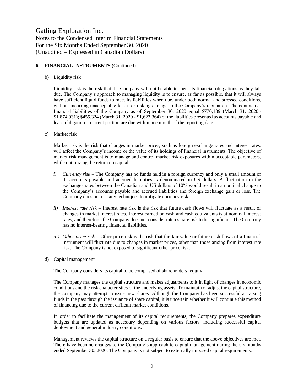#### **6. FINANCIAL INSTRUMENTS** (Continued)

b) Liquidity risk

Liquidity risk is the risk that the Company will not be able to meet its financial obligations as they fall due. The Company's approach to managing liquidity is to ensure, as far as possible, that it will always have sufficient liquid funds to meet its liabilities when due, under both normal and stressed conditions, without incurring unacceptable losses or risking damage to the Company's reputation. The contractual financial liabilities of the Company as of September 30, 2020 equal \$770,139 (March 31, 2020 - \$1,874,931); \$455,324 (March 31, 2020 - \$1,623,364) of the liabilities presented as accounts payable and lease obligation – current portion are due within one month of the reporting date.

c) Market risk

Market risk is the risk that changes in market prices, such as foreign exchange rates and interest rates, will affect the Company's income or the value of its holdings of financial instruments. The objective of market risk management is to manage and control market risk exposures within acceptable parameters, while optimizing the return on capital.

- *i) Currency risk –* The Company has no funds held in a foreign currency and only a small amount of its accounts payable and accrued liabilities is denominated in US dollars. A fluctuation in the exchanges rates between the Canadian and US dollars of 10% would result in a nominal change to the Company's accounts payable and accrued liabilities and foreign exchange gain or loss. The Company does not use any techniques to mitigate currency risk.
- *ii) Interest rate risk –* Interest rate risk is the risk that future cash flows will fluctuate as a result of changes in market interest rates. Interest earned on cash and cash equivalents is at nominal interest rates, and therefore, the Company does not consider interest rate risk to be significant. The Company has no interest-bearing financial liabilities.
- *iii) Other price risk –* Other price risk is the risk that the fair value or future cash flows of a financial instrument will fluctuate due to changes in market prices, other than those arising from interest rate risk. The Company is not exposed to significant other price risk.
- d) Capital management

The Company considers its capital to be comprised of shareholders' equity.

The Company manages the capital structure and makes adjustments to it in light of changes in economic conditions and the risk characteristics of the underlying assets. To maintain or adjust the capital structure, the Company may attempt to issue new shares. Although the Company has been successful at raising funds in the past through the issuance of share capital, it is uncertain whether it will continue this method of financing due to the current difficult market conditions.

In order to facilitate the management of its capital requirements, the Company prepares expenditure budgets that are updated as necessary depending on various factors, including successful capital deployment and general industry conditions.

Management reviews the capital structure on a regular basis to ensure that the above objectives are met. There have been no changes to the Company's approach to capital management during the six months ended September 30, 2020. The Company is not subject to externally imposed capital requirements.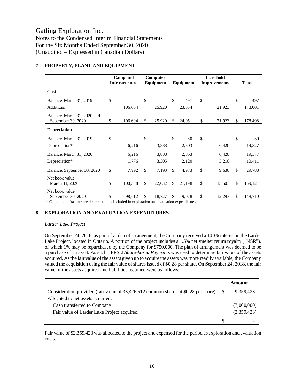|                                                   | Camp and<br><b>Infrastructure</b> | Computer<br>Equipment |        | Leasehold<br>Equipment<br><b>Improvements</b> |        |    |        | <b>Total</b> |         |  |
|---------------------------------------------------|-----------------------------------|-----------------------|--------|-----------------------------------------------|--------|----|--------|--------------|---------|--|
| Cost                                              |                                   |                       |        |                                               |        |    |        |              |         |  |
| Balance, March 31, 2019                           | \$                                | \$                    |        | $\mathbf S$                                   | 497    | \$ |        | \$           | 497     |  |
| <b>Additions</b>                                  | 106,604                           |                       | 25,920 |                                               | 23,554 |    | 21,923 |              | 178,001 |  |
| Balance, March 31, 2020 and<br>September 30, 2020 | \$<br>106,604                     | \$                    | 25,920 | \$                                            | 24,051 | \$ | 21,923 | \$           | 178,498 |  |
| <b>Depreciation</b>                               |                                   |                       |        |                                               |        |    |        |              |         |  |
| Balance, March 31, 2019                           | \$                                | $\mathcal{S}$         |        | $\mathbf S$                                   | 50     | \$ |        | \$           | 50      |  |
| Depreciation*                                     | 6,216                             |                       | 3,888  |                                               | 2,803  |    | 6,420  |              | 19,327  |  |
| Balance, March 31, 2020                           | 6,216                             |                       | 3,888  |                                               | 2,853  |    | 6,420  |              | 19,377  |  |
| Depreciation*                                     | 1,776                             |                       | 3,305  |                                               | 2,120  |    | 3,210  |              | 10,411  |  |
| Balance, September 30, 2020                       | \$<br>7,992                       | \$                    | 7,193  | \$                                            | 4,973  | \$ | 9,630  | \$           | 29,788  |  |
| Net book value.<br>March 31, 2020                 | \$<br>100,388                     | \$                    | 22,032 | \$                                            | 21,198 | \$ | 15,503 | \$           | 159,121 |  |
| Net book value.<br>September 30, 2020             | \$<br>98,612                      | <sup>\$</sup>         | 18,727 | \$                                            | 19,078 | \$ | 12,293 | \$           | 148,710 |  |

#### **7. PROPERTY, PLANT AND EQUIPMENT**

Camp and infrastructure depreciation is included in exploration and evaluation expenditures

#### **8. EXPLORATION AND EVALUATION EXPENDITURES**

#### *Larder Lake Project*

On September 24, 2018, as part of a plan of arrangement, the Company received a 100% interest in the Larder Lake Project, located in Ontario. A portion of the project includes a 1.5% net smelter return royalty ("NSR"), of which 1% may be repurchased by the Company for \$750,000. The plan of arrangement was deemed to be a purchase of an asset. As such, IFRS 2 *Share-based Payments* was used to determine fair value of the assets acquired. As the fair value of the assets given up to acquire the assets was more readily available, the Company valued the acquisition using the fair value of shares issued of \$0.28 per share. On September 24, 2018, the fair value of the assets acquired and liabilities assumed were as follows:

|                                                                                     | Amount      |
|-------------------------------------------------------------------------------------|-------------|
| Consideration provided (fair value of 33,426,512 common shares at \$0.28 per share) | 9.359.423   |
| Allocated to net assets acquired:                                                   |             |
| Cash transferred to Company                                                         | (7,000,000) |
| Fair value of Larder Lake Project acquired                                          | (2,359,423) |
|                                                                                     |             |

Fair value of \$2,359,423 was allocated to the project and expensed for the period as exploration and evaluation costs.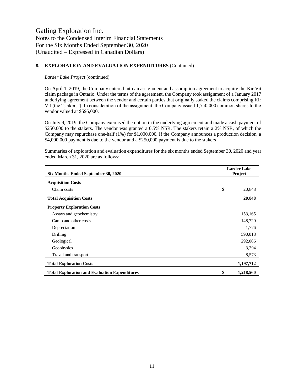#### **8. EXPLORATION AND EVALUATION EXPENDITURES** (Continued)

#### *Larder Lake Project* (continued)

On April 1, 2019, the Company entered into an assignment and assumption agreement to acquire the Kir Vit claim package in Ontario. Under the terms of the agreement, the Company took assignment of a January 2017 underlying agreement between the vendor and certain parties that originally staked the claims comprising Kir Vit (the "stakers"). In consideration of the assignment, the Company issued 1,750,000 common shares to the vendor valued at \$595,000.

On July 9, 2019, the Company exercised the option in the underlying agreement and made a cash payment of \$250,000 to the stakers. The vendor was granted a 0.5% NSR. The stakers retain a 2% NSR, of which the Company may repurchase one-half (1%) for \$1,000,000. If the Company announces a production decision, a \$4,000,000 payment is due to the vendor and a \$250,000 payment is due to the stakers.

| Six Months Ended September 30, 2020                  | <b>Larder Lake</b><br>Project |           |  |  |  |
|------------------------------------------------------|-------------------------------|-----------|--|--|--|
| <b>Acquisition Costs</b>                             |                               |           |  |  |  |
| Claim costs                                          | \$                            | 20,848    |  |  |  |
| <b>Total Acquisition Costs</b>                       |                               | 20,848    |  |  |  |
| <b>Property Exploration Costs</b>                    |                               |           |  |  |  |
| Assays and geochemistry                              |                               | 153,165   |  |  |  |
| Camp and other costs                                 |                               | 148,720   |  |  |  |
| Depreciation                                         |                               | 1,776     |  |  |  |
| Drilling                                             |                               | 590,018   |  |  |  |
| Geological                                           |                               | 292,066   |  |  |  |
| Geophysics                                           |                               | 3,394     |  |  |  |
| Travel and transport                                 |                               | 8,573     |  |  |  |
| <b>Total Exploration Costs</b>                       |                               | 1,197,712 |  |  |  |
| <b>Total Exploration and Evaluation Expenditures</b> | \$                            | 1,218,560 |  |  |  |

Summaries of exploration and evaluation expenditures for the six months ended September 30, 2020 and year ended March 31, 2020 are as follows: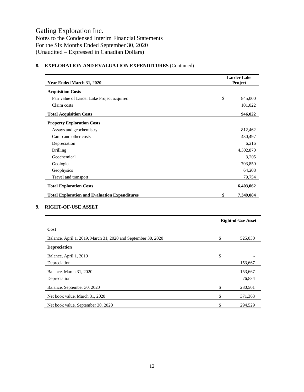### **Year Ended March 31, 2020 Larder Lake Project Acquisition Costs** Fair value of Larder Lake Project acquired  $\qquad$  845,000 Claim costs 101,022 **Total Acquisition Costs 946,022 Property Exploration Costs** Assays and geochemistry 812,462 Camp and other costs 430,497 Depreciation 6,216 Drilling 4,302,870 Geochemical 3,205 Geological 703,850 Geophysics 64,208 Travel and transport 79,754 **Total Exploration Costs 6,403,062 Total Exploration and Evaluation Expenditures \$ 7,349,084**

#### **8. EXPLORATION AND EVALUATION EXPENDITURES** (Continued)

#### **9. RIGHT-OF-USE ASSET**

|                                                               | <b>Right-of-Use Asset</b> |         |  |  |
|---------------------------------------------------------------|---------------------------|---------|--|--|
| Cost                                                          |                           |         |  |  |
| Balance, April 1, 2019, March 31, 2020 and September 30, 2020 | \$                        | 525,030 |  |  |
| <b>Depreciation</b>                                           |                           |         |  |  |
| Balance, April 1, 2019                                        | \$                        |         |  |  |
| Depreciation                                                  |                           | 153,667 |  |  |
| Balance, March 31, 2020                                       |                           | 153,667 |  |  |
| Depreciation                                                  |                           | 76,834  |  |  |
| Balance, September 30, 2020                                   |                           | 230,501 |  |  |
| Net book value, March 31, 2020                                | \$                        | 371,363 |  |  |
| Net book value, September 30, 2020                            |                           | 294,529 |  |  |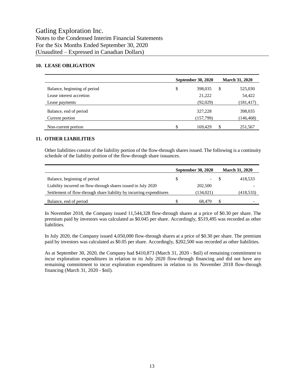#### **10. LEASE OBLIGATION**

|                              | September 30, 2020 | <b>March 31, 2020</b> |
|------------------------------|--------------------|-----------------------|
| Balance, beginning of period | \$<br>398,035      | \$<br>525,030         |
| Lease interest accretion     | 21,222             | 54,422                |
| Lease payments               | (92,029)           | (181, 417)            |
| Balance, end of period       | 327,228            | 398,035               |
| Current portion              | (157,799)          | (146, 468)            |
| Non-current portion          | \$<br>169.429      | \$<br>251,567         |

#### **11. OTHER LIABILITIES**

Other liabilities consist of the liability portion of the flow-through shares issued. The following is a continuity schedule of the liability portion of the flow-through share issuances.

|                                                                      |    | <b>September 30, 2020</b> | <b>March 31, 2020</b> |
|----------------------------------------------------------------------|----|---------------------------|-----------------------|
| Balance, beginning of period                                         | S. |                           | 418,533               |
| Liability incurred on flow-through shares issued in July 2020        |    | 202,500                   |                       |
| Settlement of flow-through share liability by incurring expenditures |    | (134, 021)                | (418, 533)            |
| Balance, end of period                                               |    | 68.479                    |                       |

In November 2018, the Company issued 11,544,328 flow-through shares at a price of \$0.30 per share. The premium paid by investors was calculated as \$0.045 per share. Accordingly, \$519,495 was recorded as other liabilities.

In July 2020, the Company issued 4,050,000 flow-through shares at a price of \$0.30 per share. The premium paid by investors was calculated as \$0.05 per share. Accordingly, \$202,500 was recorded as other liabilities.

As at September 30, 2020, the Company had \$410,873 (March 31, 2020 - \$nil) of remaining commitment to incur exploration expenditures in relation to its July 2020 flow-through financing and did not have any remaining commitment to incur exploration expenditures in relation to its November 2018 flow-through financing (March 31, 2020 - \$nil).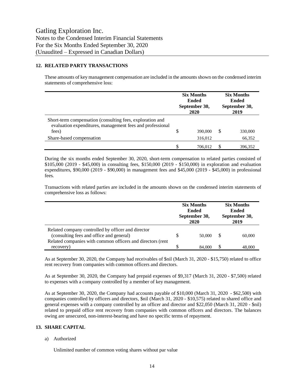#### **12. RELATED PARTY TRANSACTIONS**

These amounts of key management compensation are included in the amounts shown on the condensed interim statements of comprehensive loss:

|                                                                                                                                 | <b>Six Months</b><br><b>Ended</b><br>September 30,<br>2020 |         | <b>Six Months</b><br>Ended<br>September 30,<br>2019 |         |
|---------------------------------------------------------------------------------------------------------------------------------|------------------------------------------------------------|---------|-----------------------------------------------------|---------|
| Short-term compensation (consulting fees, exploration and<br>evaluation expenditures, management fees and professional<br>fees) | \$                                                         | 390,000 | S                                                   | 330,000 |
| Share-based compensation                                                                                                        |                                                            | 316,012 |                                                     | 66,352  |
|                                                                                                                                 | \$                                                         | 706.012 |                                                     | 396.352 |

During the six months ended September 30, 2020, short-term compensation to related parties consisted of \$105,000 (2019 - \$45,000) in consulting fees, \$150,000 (2019 - \$150,000) in exploration and evaluation expenditures, \$90,000 (2019 - \$90,000) in management fees and \$45,000 (2019 - \$45,000) in professional fees.

Transactions with related parties are included in the amounts shown on the condensed interim statements of comprehensive loss as follows:

|                                                                                                |   | <b>Six Months</b><br><b>Ended</b><br>September 30,<br>2020 | <b>Six Months</b><br><b>Ended</b><br>September 30,<br>2019 |
|------------------------------------------------------------------------------------------------|---|------------------------------------------------------------|------------------------------------------------------------|
| Related company controlled by officer and director<br>(consulting fees and office and general) | S | 50,000                                                     | 60,000                                                     |
| Related companies with common officers and directors (rent<br>recovery)                        | S | 84,000                                                     | 48,000                                                     |

As at September 30, 2020, the Company had receivables of \$nil (March 31, 2020 - \$15,750) related to office rent recovery from companies with common officers and directors.

As at September 30, 2020, the Company had prepaid expenses of \$9,317 (March 31, 2020 - \$7,500) related to expenses with a company controlled by a member of key management.

As at September 30, 2020, the Company had accounts payable of \$10,000 (March 31, 2020 - \$62,500) with companies controlled by officers and directors, \$nil (March 31, 2020 - \$10,575) related to shared office and general expenses with a company controlled by an officer and director and \$22,050 (March 31, 2020 - \$nil) related to prepaid office rent recovery from companies with common officers and directors. The balances owing are unsecured, non-interest-bearing and have no specific terms of repayment.

#### **13. SHARE CAPITAL**

a) Authorized

Unlimited number of common voting shares without par value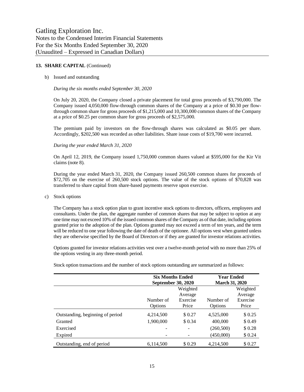#### **13. SHARE CAPITAL** (Continued)

#### b) Issued and outstanding

#### *During the six months ended September 30, 2020*

On July 20, 2020, the Company closed a private placement for total gross proceeds of \$3,790,000. The Company issued 4,050,000 flow-through common shares of the Company at a price of \$0.30 per flowthrough common share for gross proceeds of \$1,215,000 and 10,300,000 common shares of the Company at a price of \$0.25 per common share for gross proceeds of \$2,575,000.

The premium paid by investors on the flow-through shares was calculated as \$0.05 per share. Accordingly, \$202,500 was recorded as other liabilities. Share issue costs of \$19,700 were incurred.

#### *During the year ended March 31, 2020*

On April 12, 2019, the Company issued 1,750,000 common shares valued at \$595,000 for the Kir Vit claims (note 8).

During the year ended March 31, 2020, the Company issued 260,500 common shares for proceeds of \$72,705 on the exercise of 260,500 stock options. The value of the stock options of \$70,828 was transferred to share capital from share-based payments reserve upon exercise.

#### c) Stock options

The Company has a stock option plan to grant incentive stock options to directors, officers, employees and consultants. Under the plan, the aggregate number of common shares that may be subject to option at any one time may not exceed 10% of the issued common shares of the Company as of that date, including options granted prior to the adoption of the plan. Options granted may not exceed a term of ten years, and the term will be reduced to one year following the date of death of the optionee. All options vest when granted unless they are otherwise specified by the Board of Directors or if they are granted for investor relations activities.

Options granted for investor relations activities vest over a twelve-month period with no more than 25% of the options vesting in any three-month period.

|                                  | <b>Six Months Ended</b><br>September 30, 2020 |                   | <b>Year Ended</b><br><b>March 31, 2020</b> |                     |
|----------------------------------|-----------------------------------------------|-------------------|--------------------------------------------|---------------------|
|                                  | Weighted<br>Average                           |                   |                                            | Weighted<br>Average |
|                                  | Number of<br>Options                          | Exercise<br>Price | Number of<br>Options                       | Exercise<br>Price   |
| Outstanding, beginning of period | 4,214,500                                     | \$ 0.27           | 4,525,000                                  | \$0.25              |
| Granted                          | 1,900,000                                     | \$ 0.34           | 400,000                                    | \$0.49              |
| Exercised                        |                                               |                   | (260, 500)                                 | \$0.28              |
| Expired                          |                                               |                   | (450,000)                                  | \$0.24              |
| Outstanding, end of period       | 6,114,500                                     | \$0.29            | 4,214,500                                  | \$ 0.27             |

Stock option transactions and the number of stock options outstanding are summarized as follows: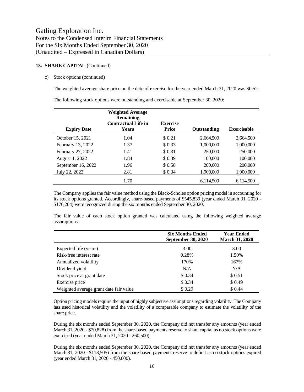#### **13. SHARE CAPITAL** (Continued)

#### c) Stock options (continued)

The weighted average share price on the date of exercise for the year ended March 31, 2020 was \$0.52.

The following stock options were outstanding and exercisable at September 30, 2020:

| <b>Expiry Date</b> | <b>Weighted Average</b><br><b>Remaining</b><br><b>Contractual Life in</b><br><b>Years</b> | <b>Exercise</b><br><b>Price</b> | Outstanding | <b>Exercisable</b> |
|--------------------|-------------------------------------------------------------------------------------------|---------------------------------|-------------|--------------------|
| October 15, 2021   | 1.04                                                                                      | \$0.21                          | 2.664.500   | 2,664,500          |
| February 13, 2022  | 1.37                                                                                      | \$0.33                          | 1,000,000   | 1,000,000          |
| February 27, 2022  | 1.41                                                                                      | \$0.31                          | 250,000     | 250,000            |
| August 1, 2022     | 1.84                                                                                      | \$0.39                          | 100,000     | 100,000            |
| September 16, 2022 | 1.96                                                                                      | \$0.58                          | 200,000     | 200,000            |
| July 22, 2023      | 2.81                                                                                      | \$0.34                          | 1,900,000   | 1,900,000          |
|                    | 1.70                                                                                      |                                 | 6,114,500   | 6.114.500          |

The Company applies the fair value method using the Black-Scholes option pricing model in accounting for its stock options granted. Accordingly, share-based payments of \$545,839 (year ended March 31, 2020 - \$176,204) were recognized during the six months ended September 30, 2020.

The fair value of each stock option granted was calculated using the following weighted average assumptions:

|                                        | <b>Six Months Ended</b><br><b>September 30, 2020</b> | <b>Year Ended</b><br><b>March 31, 2020</b> |
|----------------------------------------|------------------------------------------------------|--------------------------------------------|
| Expected life (years)                  | 3.00                                                 | 3.00                                       |
| Risk-free interest rate                | 0.28%                                                | 1.50%                                      |
| Annualized volatility                  | 170%                                                 | 167%                                       |
| Dividend yield                         | N/A                                                  | N/A                                        |
| Stock price at grant date              | \$ 0.34                                              | \$0.51                                     |
| Exercise price                         | \$ 0.34                                              | \$0.49                                     |
| Weighted average grant date fair value | \$0.29                                               | \$ 0.44                                    |

Option pricing models require the input of highly subjective assumptions regarding volatility. The Company has used historical volatility and the volatility of a comparable company to estimate the volatility of the share price.

During the six months ended September 30, 2020, the Company did not transfer any amounts (year ended March 31, 2020 - \$70,828) from the share-based payments reserve to share capital as no stock options were exercised (year ended March 31, 2020 - 260,500).

During the six months ended September 30, 2020, the Company did not transfer any amounts (year ended March 31, 2020 - \$118,505) from the share-based payments reserve to deficit as no stock options expired (year ended March 31, 2020 - 450,000).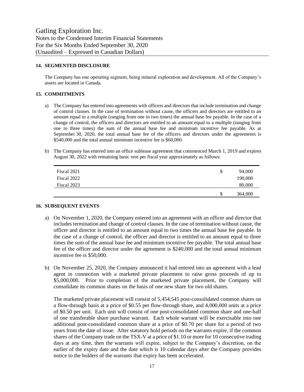#### **14. SEGMENTED DISCLOSURE**

The Company has one operating segment, being mineral exploration and development. All of the Company's assets are located in Canada.

#### **15. COMMITMENTS**

- a) The Company has entered into agreements with officers and directors that include termination and change of control clauses. In the case of termination without cause, the officers and directors are entitled to an amount equal to a multiple (ranging from one to two times) the annual base fee payable. In the case of a change of control, the officers and directors are entitled to an amount equal to a multiple (ranging from one to three times) the sum of the annual base fee and minimum incentive fee payable. As at September 30, 2020, the total annual base fee of the officers and directors under the agreements is \$540,000 and the total annual minimum incentive fee is \$60,000.
- b) The Company has entered into an office sublease agreement that commenced March 1, 2019 and expires August 30, 2022 with remaining basic rent per fiscal year approximately as follows:

| Fiscal 2021 | S  | 94,000  |
|-------------|----|---------|
| Fiscal 2022 |    | 190,000 |
| Fiscal 2023 |    | 80,000  |
|             | \$ | 364,000 |

#### **16. SUBSEQUENT EVENTS**

- a) On November 1, 2020, the Company entered into an agreement with an officer and director that includes termination and change of control clauses. In the case of termination without cause, the officer and director is entitled to an amount equal to two times the annual base fee payable. In the case of a change of control, the officer and director is entitled to an amount equal to three times the sum of the annual base fee and minimum incentive fee payable. The total annual base fee of the officer and director under the agreement is \$240,000 and the total annual minimum incentive fee is \$50,000.
- b) On November 25, 2020, the Company announced it had entered into an agreement with a lead agent in connection with a marketed private placement to raise gross proceeds of up to \$5,000,000. Prior to completion of the marketed private placement, the Company will consolidate its common shares on the basis of one new share for two old shares.

The marketed private placement will consist of 5,454,545 post-consolidated common shares on a flow-through basis at a price of \$0.55 per flow-through share, and 4,000,000 units at a price of \$0.50 per unit. Each unit will consist of one post-consolidated common share and one-half of one transferable share purchase warrant. Each whole warrant will be exercisable into one additional post-consolidated common share at a price of \$0.70 per share for a period of two years from the date of issue. After statutory hold periods on the warrants expire, if the common shares of the Company trade on the TSX-V at a price of \$1.10 or more for 10 consecutive trading days at any time, then the warrants will expire, subject to the Company's discretion, on the earlier of the expiry date and the date which is 10 calendar days after the Company provides notice to the holders of the warrants that expiry has been accelerated.